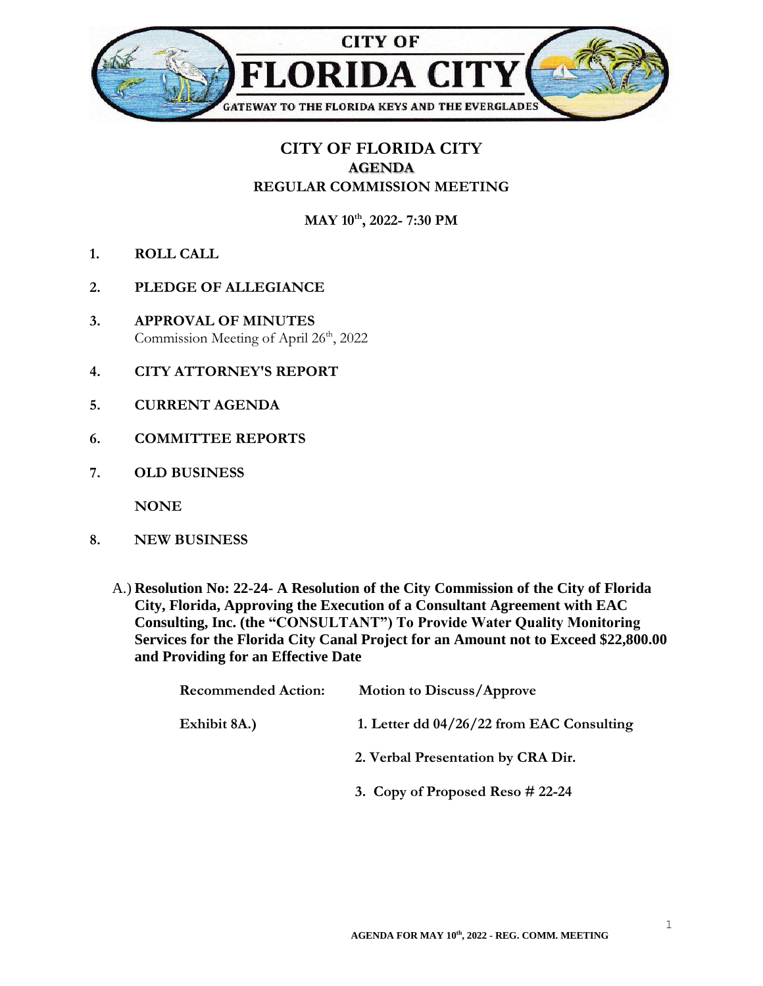

## **CITY OF FLORIDA CITY AGENDA REGULAR COMMISSION MEETING**

**MAY 10th , 2022- 7:30 PM**

- **1. ROLL CALL**
- **2. PLEDGE OF ALLEGIANCE**
- **3. APPROVAL OF MINUTES** Commission Meeting of April 26<sup>th</sup>, 2022
- **4. CITY ATTORNEY'S REPORT**
- **5. CURRENT AGENDA**
- **6. COMMITTEE REPORTS**
- **7. OLD BUSINESS**

**NONE**

- **8. NEW BUSINESS**
	- A.) **Resolution No: 22-24- A Resolution of the City Commission of the City of Florida City, Florida, Approving the Execution of a Consultant Agreement with EAC Consulting, Inc. (the "CONSULTANT") To Provide Water Quality Monitoring Services for the Florida City Canal Project for an Amount not to Exceed \$22,800.00 and Providing for an Effective Date**

| <b>Recommended Action:</b> | <b>Motion to Discuss/Approve</b>          |
|----------------------------|-------------------------------------------|
| Exhibit 8A.)               | 1. Letter dd 04/26/22 from EAC Consulting |
|                            | 2. Verbal Presentation by CRA Dir.        |
|                            | 3. Copy of Proposed Reso $#22-24$         |